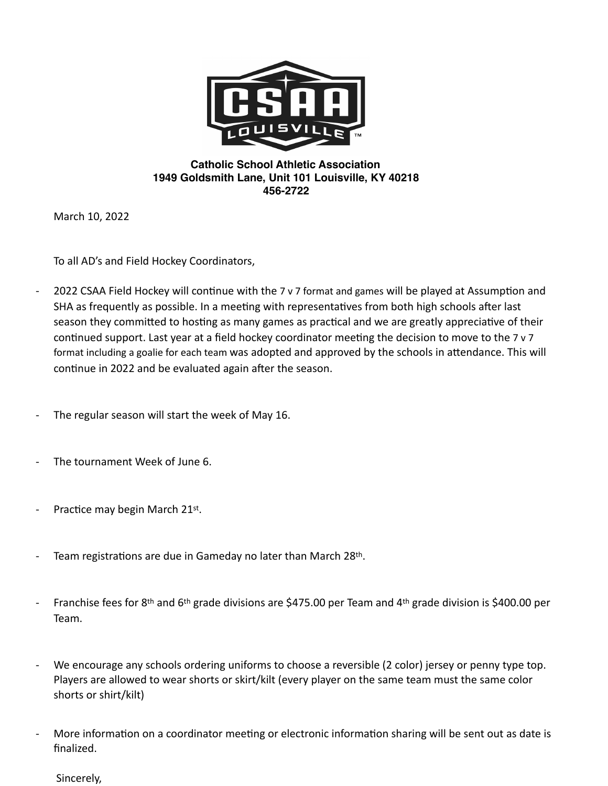

## **Catholic School Athletic Association 1949 Goldsmith Lane, Unit 101 Louisville, KY 40218 456-2722**

March 10, 2022

To all AD's and Field Hockey Coordinators,

- 2022 CSAA Field Hockey will continue with the 7 v 7 format and games will be played at Assumption and SHA as frequently as possible. In a meeting with representatives from both high schools after last season they committed to hosting as many games as practical and we are greatly appreciative of their continued support. Last year at a field hockey coordinator meeting the decision to move to the 7 v 7 format including a goalie for each team was adopted and approved by the schools in attendance. This will continue in 2022 and be evaluated again after the season.
- The regular season will start the week of May 16.
- The tournament Week of June 6.
- Practice may begin March 21st.
- Team registrations are due in Gameday no later than March 28th.
- Franchise fees for 8th and 6th grade divisions are \$475.00 per Team and 4th grade division is \$400.00 per Team.
- We encourage any schools ordering uniforms to choose a reversible (2 color) jersey or penny type top. Players are allowed to wear shorts or skirt/kilt (every player on the same team must the same color shorts or shirt/kilt)
- More information on a coordinator meeting or electronic information sharing will be sent out as date is finalized.

Sincerely,